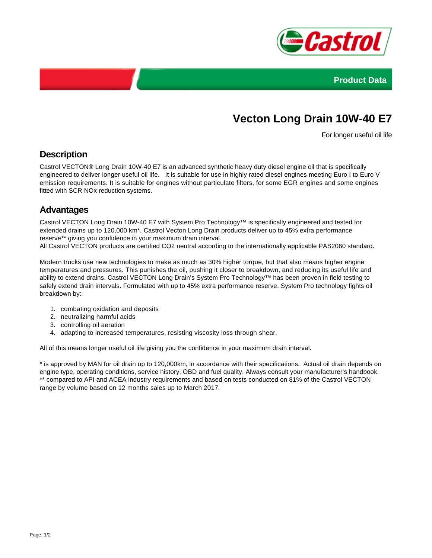



# **Vecton Long Drain 10W-40 E7**

For longer useful oil life

### **Description**

Castrol VECTON® Long Drain 10W-40 E7 is an advanced synthetic heavy duty diesel engine oil that is specifically engineered to deliver longer useful oil life. It is suitable for use in highly rated diesel engines meeting Euro I to Euro V emission requirements. It is suitable for engines without particulate filters, for some EGR engines and some engines fitted with SCR NOx reduction systems.

#### **Advantages**

Castrol VECTON Long Drain 10W-40 E7 with System Pro Technology™ is specifically engineered and tested for extended drains up to 120,000 km\*. Castrol Vecton Long Drain products deliver up to 45% extra performance reserve\*\* giving you confidence in your maximum drain interval.

All Castrol VECTON products are certified CO2 neutral according to the internationally applicable PAS2060 standard.

Modern trucks use new technologies to make as much as 30% higher torque, but that also means higher engine temperatures and pressures. This punishes the oil, pushing it closer to breakdown, and reducing its useful life and ability to extend drains. Castrol VECTON Long Drain's System Pro Technology™ has been proven in field testing to safely extend drain intervals. Formulated with up to 45% extra performance reserve, System Pro technology fights oil breakdown by:

- 1. combating oxidation and deposits
- 2. neutralizing harmful acids
- 3. controlling oil aeration
- 4. adapting to increased temperatures, resisting viscosity loss through shear.

All of this means longer useful oil life giving you the confidence in your maximum drain interval.

\* is approved by MAN for oil drain up to 120,000km, in accordance with their specifications. Actual oil drain depends on engine type, operating conditions, service history, OBD and fuel quality. Always consult your manufacturer's handbook. \*\* compared to API and ACEA industry requirements and based on tests conducted on 81% of the Castrol VECTON range by volume based on 12 months sales up to March 2017.